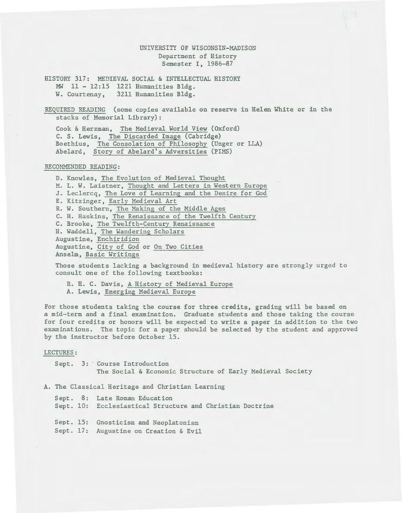# UNIVERSITY OF WISCONSIN-MADISON Department of History Semester I, 1986-87

HISTORY 317: MEDIEVAL SOCIAL & INTELLECTUAL HISTORY MW 11 - 12:15 1221 Humanities Bldg. W. Courtenay, 3211 Humanities Bldg.

REQUIRED READING (some copies available on reserve in Helen White or in the stacks of Memorial Library):

Cook & Herzman, The Medieval World View (Oxford) C. S. Lewis, The Discarded Image (Cabridge) Boethius, The Consolation of Philosophy (Unger or LLA) Abelard, Story of Abelard's Adversities (PIMS)

## RECOMMENDED READING:

D. Knowles, The Evolution of Medieval Thought M. L. W. Laistner, Thought and Letters in Western Europe J. Leclercq, The Love of Learning and the Desire for God E. Kitzinger, Early Medieval Art R. W. Southern, The Making of the Middle Ages C. H. Haskins, The Renaissance of the Twelfth Century C. Brooke, The Twelfth-Century Renaissance H. Waddell, The Wandering Scholars Augustine, Enchiridion Augustine, City of God or On Two Cities Anselm, Basic Writings

Those students lacking a background in medieval history are strongly urged to consult one of the following textbooks:

R. H. C. Davis, A History of Medieval Europe A. Lewis, Emerging Medieval Europe

For those students taking the course for three credits, grading will be based on a mid-term and a final examination. Graduate students and those taking the course for four credits or honors will be expected to write a paper in addition to the two examinations. The topic for a paper should be selected by the student and approved by the instructor before October 15.

#### LECTURES:

Sept. 3: Course Introduction The Social & Economic Structure of Early Medieval Society

A. The Classical Heritage and Christian Learning

Sept. 8: Late Roman Education Sept. 10: Ecclesiastical Structure and Christian Doctrine Sept. 15: Gnosticism and Neoplatonism Sept. 17: Augustine on Creation & Evil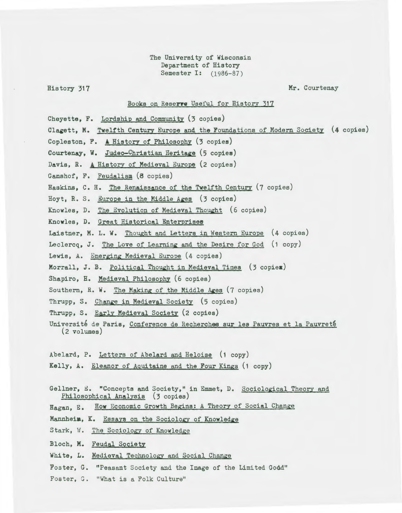The University of Wisconsin Department of History Semester I: (1986-87)

### History 317 Mr. Courtenay

# Books on Reserve Useful for History 317

- Cheyette, F. Lordship and Community (3 copies)
- Clagett, M. Twelfth Century Europe and the Foundations of Modern Society (4 copies)
- Copleston, P. & History *ot* Philosophy (3 copies)
- Courtenay, W. Judeo-Christian Heritage (5 copies)
- Davis, R. A History of Medieval Europe (2 copies)
- Ganshof, F. Feudalism (8 copies)
- Haskins, C. H. The Renaissance of the Twelfth Century (7 copies)
- Hoyt, R. S. Europe in the Middle Ages  $(3$  copies)
- Knowles, D. The Evolution of Medieval Thought (6 copies)
- Knowles, D. Great Historical Enterprises
- Laistner, M. L. W. Thought and Letters in Western Europe (4 copies)
- Leclercq, J. The Love of Learning and the Desire for God (1 copy)
- Lewis, A. Emerging Medieval Europe (4 copies)
- Morrall, J. B. Political Thought in Medieval Times (3 copies)
- Shapiro, H. Medieval Philosophy (6 copies)
- Southern, R. W. The Making of the Middle Ages (7 copies)
- Thrupp, S. Change in Medieval Society (5 copies)
- Thrupp, S. Early Medieval Society (2 copies)
- Université de Paris, Conference de Recherches sur les Pauvres et la Pauvreté (2 volumes)
- Abelard, P. Letters of Abelard and Heloise (1 copy)
- Kelly, A. Eleanor of Aguitaine and the Four Kings (1 copy)
- Gellner, E. "Concepts and Society," in Emmet, D. Sociological Theory and Philosophical Analysis (3 copies)
- Hagan, E. How Economic Growth Begins: A Theory of Social Change
- Mannheim, K. Essays on the Sociology of Knowledge
- Stark, W. The Sociology of Knowledge
- Bloch, M. Feudal Society
- White, L. Medieval Technology and Social Change
- Foster, G. "Peasant Society and the Image of the Limited Godd"
- Foster, G. "What is a Folk Culture"